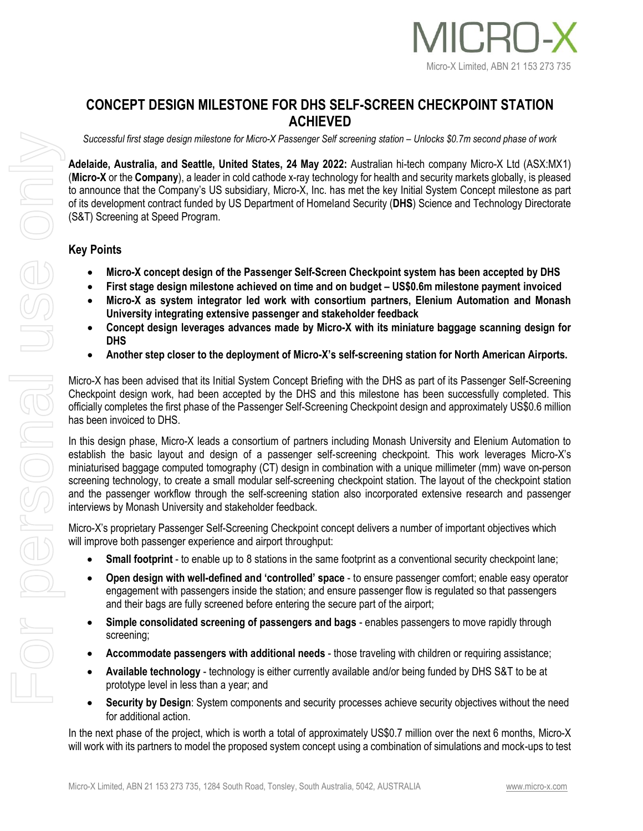

## **CONCEPT DESIGN MILESTONE FOR DHS SELF-SCREEN CHECKPOINT STATION ACHIEVED**

*Successful first stage design milestone for Micro-X Passenger Self screening station – Unlocks \$0.7m second phase of work*

**Adelaide, Australia, and Seattle, United States, 24 May 2022:** Australian hi-tech company Micro-X Ltd (ASX:MX1) (**Micro-X** or the **Company**), a leader in cold cathode x-ray technology for health and security markets globally, is pleased to announce that the Company's US subsidiary, Micro-X, Inc. has met the key Initial System Concept milestone as part of its development contract funded by US Department of Homeland Security (**DHS**) Science and Technology Directorate (S&T) Screening at Speed Program.

## **Key Points**

- **Micro-X concept design of the Passenger Self-Screen Checkpoint system has been accepted by DHS**
- **First stage design milestone achieved on time and on budget – US\$0.6m milestone payment invoiced**
- **Micro-X as system integrator led work with consortium partners, Elenium Automation and Monash University integrating extensive passenger and stakeholder feedback**
- **Concept design leverages advances made by Micro-X with its miniature baggage scanning design for DHS**
- **Another step closer to the deployment of Micro-X's self-screening station for North American Airports.**

Micro-X has been advised that its Initial System Concept Briefing with the DHS as part of its Passenger Self-Screening Checkpoint design work, had been accepted by the DHS and this milestone has been successfully completed. This officially completes the first phase of the Passenger Self-Screening Checkpoint design and approximately US\$0.6 million has been invoiced to DHS.

In this design phase, Micro-X leads a consortium of partners including Monash University and Elenium Automation to establish the basic layout and design of a passenger self-screening checkpoint. This work leverages Micro-X's miniaturised baggage computed tomography (CT) design in combination with a unique millimeter (mm) wave on-person screening technology, to create a small modular self-screening checkpoint station. The layout of the checkpoint station and the passenger workflow through the self-screening station also incorporated extensive research and passenger interviews by Monash University and stakeholder feedback.

Micro-X's proprietary Passenger Self-Screening Checkpoint concept delivers a number of important objectives which will improve both passenger experience and airport throughput:

- **Small footprint** to enable up to 8 stations in the same footprint as a conventional security checkpoint lane;
- **Open design with well-defined and 'controlled' space** to ensure passenger comfort; enable easy operator engagement with passengers inside the station; and ensure passenger flow is regulated so that passengers and their bags are fully screened before entering the secure part of the airport;
- **Simple consolidated screening of passengers and bags** enables passengers to move rapidly through screening;
- **Accommodate passengers with additional needs** those traveling with children or requiring assistance;
- **Available technology** technology is either currently available and/or being funded by DHS S&T to be at prototype level in less than a year; and
- **Security by Design**: System components and security processes achieve security objectives without the need for additional action.

In the next phase of the project, which is worth a total of approximately US\$0.7 million over the next 6 months, Micro-X will work with its partners to model the proposed system concept using a combination of simulations and mock-ups to test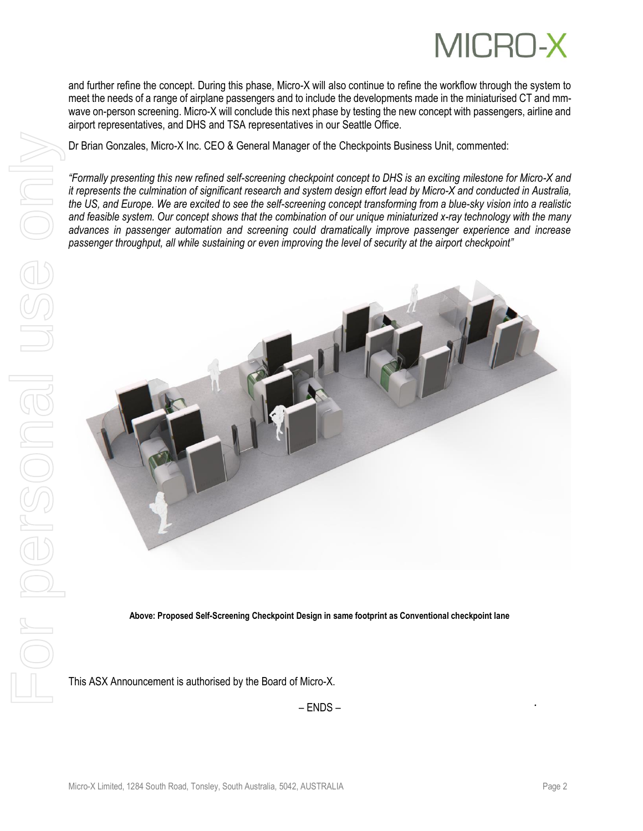

and further refine the concept. During this phase, Micro-X will also continue to refine the workflow through the system to meet the needs of a range of airplane passengers and to include the developments made in the miniaturised CT and mmwave on-person screening. Micro-X will conclude this next phase by testing the new concept with passengers, airline and airport representatives, and DHS and TSA representatives in our Seattle Office.

Dr Brian Gonzales, Micro-X Inc. CEO & General Manager of the Checkpoints Business Unit, commented:

*"Formally presenting this new refined self-screening checkpoint concept to DHS is an exciting milestone for Micro-X and it represents the culmination of significant research and system design effort lead by Micro-X and conducted in Australia, the US, and Europe. We are excited to see the self-screening concept transforming from a blue-sky vision into a realistic and feasible system. Our concept shows that the combination of our unique miniaturized x-ray technology with the many advances in passenger automation and screening could dramatically improve passenger experience and increase passenger throughput, all while sustaining or even improving the level of security at the airport checkpoint"*



**Above: Proposed Self-Screening Checkpoint Design in same footprint as Conventional checkpoint lane**

– ENDS –